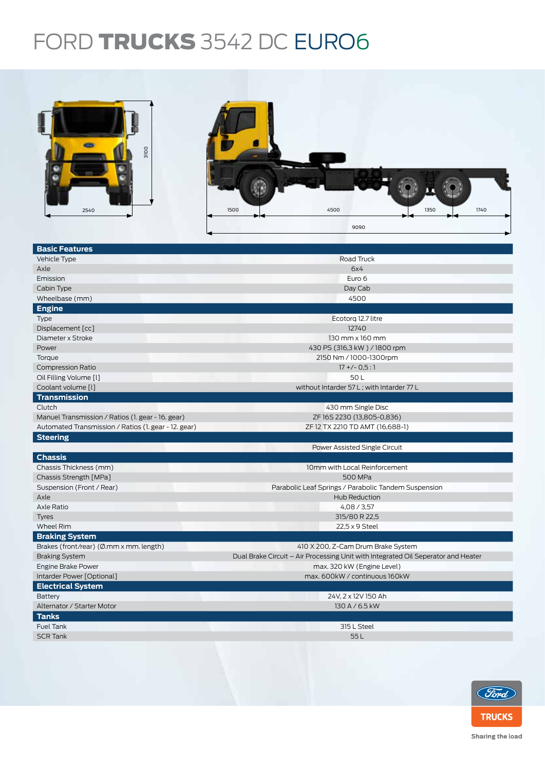## FORD TRUCKS 3542 DC EURO6

| aloo<br>2540                                          | 1500<br>4500<br>1350<br>1740<br>9090                                              |  |  |  |  |
|-------------------------------------------------------|-----------------------------------------------------------------------------------|--|--|--|--|
|                                                       |                                                                                   |  |  |  |  |
| <b>Basic Features</b>                                 |                                                                                   |  |  |  |  |
| Vehicle Type                                          | Road Truck                                                                        |  |  |  |  |
| Axle                                                  | 6x4                                                                               |  |  |  |  |
| Emission                                              | Euro 6                                                                            |  |  |  |  |
| Cabin Type                                            | Day Cab                                                                           |  |  |  |  |
| Wheelbase (mm)                                        | 4500                                                                              |  |  |  |  |
| <b>Engine</b>                                         |                                                                                   |  |  |  |  |
| Type                                                  | Ecotorq 12.7 litre                                                                |  |  |  |  |
| Displacement [cc]                                     | 12740                                                                             |  |  |  |  |
| Diameter x Stroke                                     | 130 mm x 160 mm                                                                   |  |  |  |  |
| Power                                                 | 430 PS (316,3 kW) / 1800 rpm                                                      |  |  |  |  |
| Torque                                                | 2150 Nm / 1000-1300rpm                                                            |  |  |  |  |
| <b>Compression Ratio</b>                              | $17 + (-0.5:1)$                                                                   |  |  |  |  |
| Oil Filling Volume [I]                                | 50L                                                                               |  |  |  |  |
| Coolant volume [l]                                    | without Intarder 57 L; with Intarder 77 L                                         |  |  |  |  |
| <b>Transmission</b><br>Clutch                         | 430 mm Single Disc                                                                |  |  |  |  |
| Manuel Transmission / Ratios (1. gear - 16. gear)     | ZF16S2230 (13,805-0,836)                                                          |  |  |  |  |
| Automated Transmission / Ratios (1. gear - 12. gear)  | ZF 12 TX 2210 TD AMT (16,688-1)                                                   |  |  |  |  |
| <b>Steering</b>                                       |                                                                                   |  |  |  |  |
|                                                       | Power Assisted Single Circuit                                                     |  |  |  |  |
| <b>Chassis</b>                                        |                                                                                   |  |  |  |  |
| Chassis Thickness (mm)                                | 10mm with Local Reinforcement                                                     |  |  |  |  |
| Chassis Strength [MPa]                                | 500 MPa                                                                           |  |  |  |  |
| Suspension (Front / Rear)                             | Parabolic Leaf Springs / Parabolic Tandem Suspension                              |  |  |  |  |
| Axle                                                  | Hub Reduction                                                                     |  |  |  |  |
| Axle Ratio                                            | 4,08/3,57                                                                         |  |  |  |  |
| Tyres                                                 | 315/80 R 22,5                                                                     |  |  |  |  |
| Wheel Rim                                             | 22,5 x 9 Steel                                                                    |  |  |  |  |
| <b>Braking System</b>                                 |                                                                                   |  |  |  |  |
| Brakes (front/rear) (Ø.mm x mm. length)               | 410 X 200, Z-Cam Drum Brake System                                                |  |  |  |  |
| <b>Braking System</b>                                 | Dual Brake Circuit - Air Processing Unit with Integrated Oil Seperator and Heater |  |  |  |  |
| Engine Brake Power                                    | max. 320 kW (Engine Level)<br>max. 600kW / continuous 160kW                       |  |  |  |  |
| Intarder Power [Optional]<br><b>Electrical System</b> |                                                                                   |  |  |  |  |
| <b>Battery</b>                                        |                                                                                   |  |  |  |  |
| Alternator / Starter Motor                            | 24V, 2 x 12V 150 Ah<br>130 A / 6.5 kW                                             |  |  |  |  |
| <b>Tanks</b>                                          |                                                                                   |  |  |  |  |
| Fuel Tank                                             | 315 L Steel                                                                       |  |  |  |  |
| <b>SCR Tank</b>                                       | 55L                                                                               |  |  |  |  |
|                                                       |                                                                                   |  |  |  |  |



Sharing the load